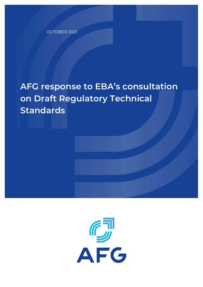OCTOBER 2021

## **AFG response to EBA's consultation on Draft Regulatory Technical Standards**

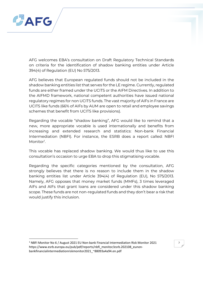

AFG welcomes EBA's consultation on Draft Regulatory Technical Standards on criteria for the identification of shadow banking entities under Article 394(4) of Regulation (EU) No 575/2013.

AFG believes that European regulated funds should not be included in the shadow banking entities list that serves for the LE regime. Currently, regulated funds are either framed under the UCITS or the AIFM Directives. In addition to the AIFMD framework, national competent authorities have issued national regulatory regimes for non UCITS funds. The vast majority of AIFs in France are UCITS like funds (66% of AIFs by AUM are open to retail and employee savings schemes that benefit from UCITS like provisions).

Regarding the vocable "shadow banking", AFG would like to remind that a new, more appropriate vocable is used internationally and benefits from increasing and extended research and statistics: Non-bank Financial Intermediation (NBFI). For instance, the ESRB does a report called: NBFI Monitor<sup>[1](#page-1-0)</sup>.

This vocable has replaced shadow banking. We would thus like to use this consultation's occasion to urge EBA to drop this stigmatising vocable.

Regarding the specific categories mentioned by the consultation, AFG strongly believes that there is no reason to include them in the shadow banking entities list under Article 394(4) of Regulation (EU), No 575/2013. Namely, AFG opposes that money market funds (MMFs), 3 times leveraged AIFs and AIFs that grant loans are considered under this shadow banking scope. These funds are not non-regulated funds and they don't bear a risk that would justify this inclusion.

 $\mathfrak{D}$ 

<span id="page-1-0"></span><sup>1</sup> NBFI Monitor No 6 / August 2021 EU Non-bank Financial Intermediation Risk Monitor 2021 https://www.esrb.europa.eu/pub/pdf/reports/nbfi\_monitor/esrb.202108\_eunonbankfinancialintermediationriskmonitor2021\_~88093a4a94.en.pdf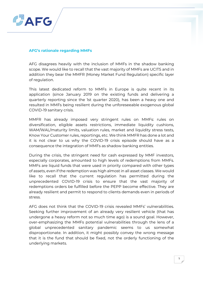

## **AFG's rationale regarding MMFs**

AFG disagrees heavily with the inclusion of MMFs in the shadow banking scope. We would like to recall that the vast majority of MMFs are UCITS and in addition they bear the MMFR (Money Market Fund Regulation) specific layer of regulation.

This latest dedicated reform to MMFs in Europe is quite recent in its application (since January 2019 on the existing funds and delivering a quarterly reporting since the 1st quarter 2020), has been a heavy one and resulted in MMFs being resilient during the unforeseeable exogenous global COVID-19 sanitary crisis.

MMFR has already imposed very stringent rules on MMFs: rules on diversification, eligible assets restrictions, immediate liquidity cushions, WAM/WAL/maturity limits, valuation rules, market and liquidity stress tests, Know Your Customer rules, reportings, etc. We think MMFR has done a lot and it is not clear to us why the COVID-19 crisis episode should have as a consequence the integration of MMFs as shadow banking entities.

During the crisis, the stringent need for cash expressed by MMF investors, especially corporates, amounted to high levels of redemptions from MMFs. MMFs are liquid funds that were used in priority compared with other types of assets, even if the redemption was high almost in all asset classes. We would like to recall that the current regulation has permitted during the unprecedented COVID-19 crisis to ensure that the vast majority of redemptions orders be fulfilled before the PEPP become effective. They are already resilient and permit to respond to clients demands even in periods of stress.

AFG does not think that the COVID-19 crisis revealed MMFs' vulnerabilities. Seeking further improvement of an already very resilient vehicle (that has undergone a heavy reform not so much time ago) is a sound goal. However, over-emphasizing the MMFs potential vulnerabilities through the lens of a global unprecedented sanitary pandemic seems to us somewhat disproportionate. In addition, it might possibly convey the wrong message that it is the fund that should be fixed, not the orderly functioning of the underlying markets.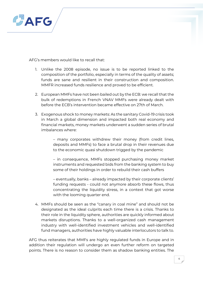

AFG's members would like to recall that:

- 1. Unlike the 2008 episode, no issue is to be reported linked to the composition of the portfolio, especially in terms of the quality of assets; funds are sane and resilient in their construction and composition. MMFR increased funds resilience and proved to be efficient.
- 2. European MMFs have not been bailed out by the ECB: we recall that the bulk of redemptions in French VNAV MMFs were already dealt with before the ECB's intervention became effective on 27th of March.
- 3. Exogenous shock to money markets: As the sanitary Covid-19 crisis took in March a global dimension and impacted both real economy and financial markets, money markets underwent a sudden series of brutal imbalances where:

– many corporates withdrew their money (from credit lines, deposits and MMFs) to face a brutal drop in their revenues due to the economic quasi shutdown trigged by the pandemic

– in consequence, MMFs stopped purchasing money market instruments and requested bids from the banking system to buy some of their holdings in order to rebuild their cash buffers

– eventually, banks – already impacted by their corporate clients' funding requests - could not anymore absorb these flows, thus concentrating the liquidity stress, in a context that got worse with the looming quarter end.

4. MMFs should be seen as the "canary in coal mine" and should not be designated as the ideal culprits each time there is a crisis. Thanks to their role in the liquidity sphere, authorities are quickly informed about markets disruptions. Thanks to a well-organized cash management industry with well-identified investment vehicles and well-identified fund managers, authorities have highly valuable interlocutors to talk to.

AFG thus reiterates that MMFs are highly regulated funds in Europe and in addition their regulation will undergo an even further reform on targeted points. There is no reason to consider them as shadow banking entities. The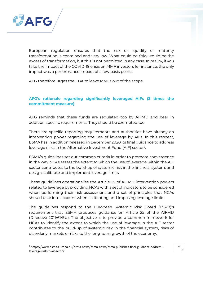

European regulation ensures that the risk of liquidity or maturity transformation is contained and very low. What could be risky would be the excess of transformation, but this is not permitted in any case. In reality, if you take the impact of the COVID-19 crisis on MMF investors for instance, the only impact was a performance impact of a few basis points.

AFG therefore urges the EBA to leave MMFs out of the scope.

## **AFG's rationale regarding significantly leveraged AIFs (3 times the commitment measure)**

AFG reminds that these funds are regulated too by AIFMD and bear in addition specific requirements. They should be exempted too.

There are specific reporting requirements and authorities have already an intervention power regarding the use of leverage by AIFs. In this respect, ESMA has in addition released in December 2020 its final guidance to address leverage risks in the Alternative Investment Fund (AIF) sector<sup>[2](#page-4-0)</sup>.

ESMA's guidelines set out common criteria in order to promote convergence in the way NCAs assess the extent to which the use of leverage within the AIF sector contributes to the build-up of systemic risk in the financial system; and design, calibrate and implement leverage limits.

These guidelines operationalise the Article 25 of AIFMD intervention powers related to leverage by providing NCAs with a set of indicators to be considered when performing their risk assessment and a set of principles that NCAs should take into account when calibrating and imposing leverage limits.

The guidelines respond to the European Systemic Risk Board (ESRB)'s requirement that ESMA produces guidance on Article 25 of the AIFMD (Directive 2011/61/EU). The objective is to provide a common framework for NCAs to identify the extent to which the use of leverage in the AIF sector contributes to the build-up of systemic risk in the financial system, risks of disorderly markets or risks to the long-term growth of the economy.

<span id="page-4-0"></span><sup>2</sup> https://www.esma.europa.eu/press-news/esma-news/esma-publishes-final-guidance-addressleverage-risk-in-aif-sector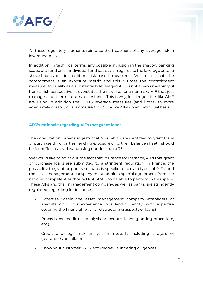

All these regulatory elements reinforce the treatment of any leverage risk in leveraged AIFs.

In addition, in technical terms, any possible inclusion in the shadow banking scope of a fund on an individual fund basis with regards to the leverage criteria should consider in addition risk-based measures. We recall that the commitment is an exposure metric and this 3 times the commitment measure (to qualify as a substantially leveraged AIF) is not always meaningful from a risk perspective. It overstates the risk, like for a non-risky AIF that just manages short term futures for instance. This is why, local regulators like AMF are using in addition the UCITS leverage measures (and limits) to more adequately grasp global exposure for UCITS-like AIFs on an individual basis.

## **AFG's rationale regarding AIFs that grant loans**

The consultation paper suggests that AIFs which are « entitled to grant loans or purchase third parties' lending exposure onto their balance sheet » should be identified as shadow banking entities (point 75).

We would like to point out the fact that in France for instance, AIFs that grant or purchase loans are submitted to a stringent regulation. In France, the possibility to grant or purchase loans is specific to certain types of AIFs, and the asset management company must obtain a special agreement from the national competent authority NCA (AMF) to be able to perform in this space. These AIFs and their management company, as well as banks, are stringently regulated, regarding for instance:

- Expertise within the asset management company (managers or analysts with prior experience in a lending entity, with expertise covering the financial, legal, and structuring aspects of loans)
- Procedures (credit risk analysis procedure, loans granting procedure, etc.)
- Credit and legal risk analysis framework, including analysis of guarantees or collateral
- Know your customer KYC / anti-money laundering diligences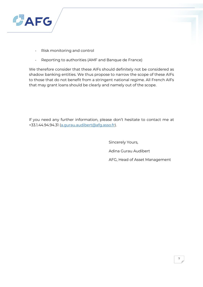

- Risk monitoring and control
- Reporting to authorities (AMF and Banque de France)

We therefore consider that these AIFs should definitely not be considered as shadow banking entities. We thus propose to narrow the scope of these AIFs to those that do not benefit from a stringent national regime. All French AIFs that may grant loans should be clearly and namely out of the scope.

If you need any further information, please don't hesitate to contact me at +33.1.44.94.94.31 [\(a.gurau.audibert@afg.asso.fr\)](mailto:a.gurau.audibert@afg.asso.fr).

> Sincerely Yours, Adina Gurau Audibert AFG, Head of Asset Management